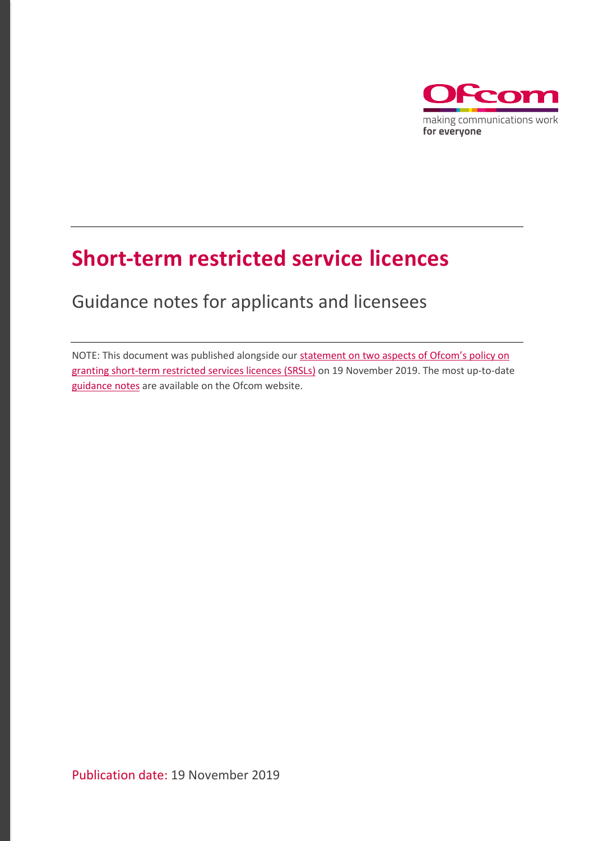

## **Short-term restricted service licences**

Guidance notes for applicants and licensees

NOTE: This document was published alongside our [statement on two aspects of Ofcom's](https://www.ofcom.org.uk/consultations-and-statements/category-3/short-term-restricted-service-licensing-review) policy on [granting short-term restricted services licences \(SRSLs\)](https://www.ofcom.org.uk/consultations-and-statements/category-3/short-term-restricted-service-licensing-review) on 19 November 2019. The most up-to-date [guidance notes](https://www.ofcom.org.uk/__data/assets/pdf_file/0022/125527/Short-term-RSL-guidance.pdf) are available on the Ofcom website.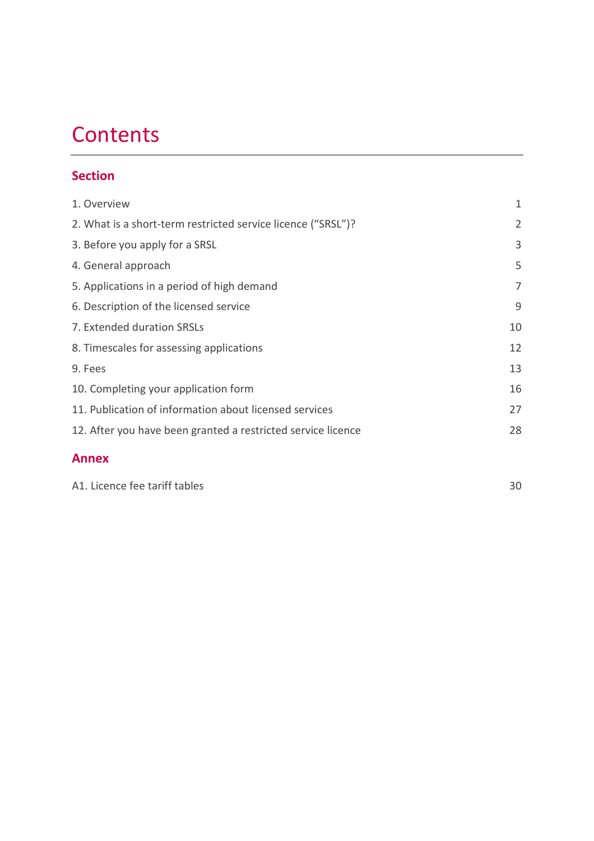# **Contents**

## **Section**

| 1. Overview                                                  | $\mathbf{1}$   |
|--------------------------------------------------------------|----------------|
| 2. What is a short-term restricted service licence ("SRSL")? | $\overline{2}$ |
| 3. Before you apply for a SRSL                               | 3              |
| 4. General approach                                          | 5              |
| 5. Applications in a period of high demand                   | 7              |
| 6. Description of the licensed service                       | 9              |
| 7. Extended duration SRSLs                                   | 10             |
| 8. Timescales for assessing applications                     | 12             |
| 9. Fees                                                      | 13             |
| 10. Completing your application form                         | 16             |
| 11. Publication of information about licensed services       | 27             |
| 12. After you have been granted a restricted service licence | 28             |
| <b>Annex</b>                                                 |                |

| A1. Licence fee tariff tables |  |
|-------------------------------|--|
|-------------------------------|--|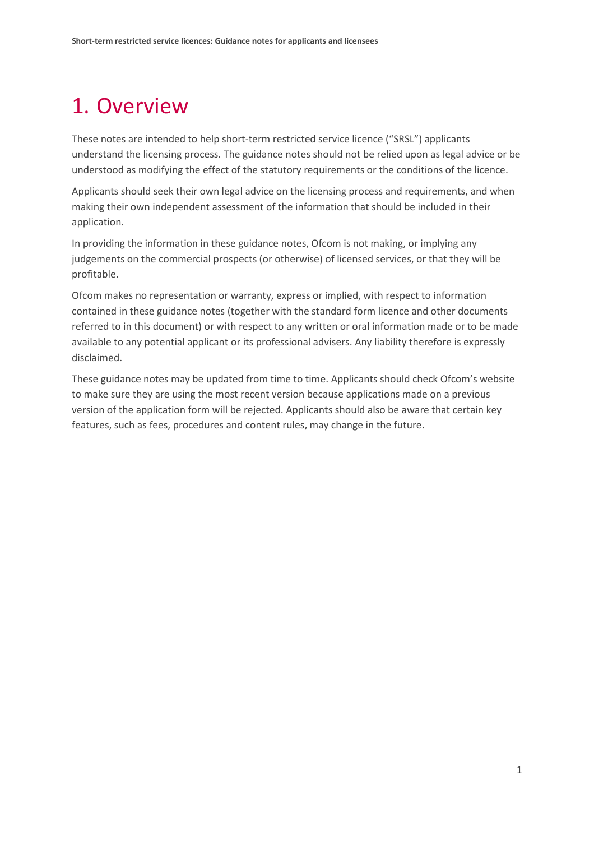## <span id="page-2-0"></span>1. Overview

These notes are intended to help short-term restricted service licence ("SRSL") applicants understand the licensing process. The guidance notes should not be relied upon as legal advice or be understood as modifying the effect of the statutory requirements or the conditions of the licence.

Applicants should seek their own legal advice on the licensing process and requirements, and when making their own independent assessment of the information that should be included in their application.

In providing the information in these guidance notes, Ofcom is not making, or implying any judgements on the commercial prospects (or otherwise) of licensed services, or that they will be profitable.

Ofcom makes no representation or warranty, express or implied, with respect to information contained in these guidance notes (together with the standard form licence and other documents referred to in this document) or with respect to any written or oral information made or to be made available to any potential applicant or its professional advisers. Any liability therefore is expressly disclaimed.

These guidance notes may be updated from time to time. Applicants should check Ofcom's website to make sure they are using the most recent version because applications made on a previous version of the application form will be rejected. Applicants should also be aware that certain key features, such as fees, procedures and content rules, may change in the future.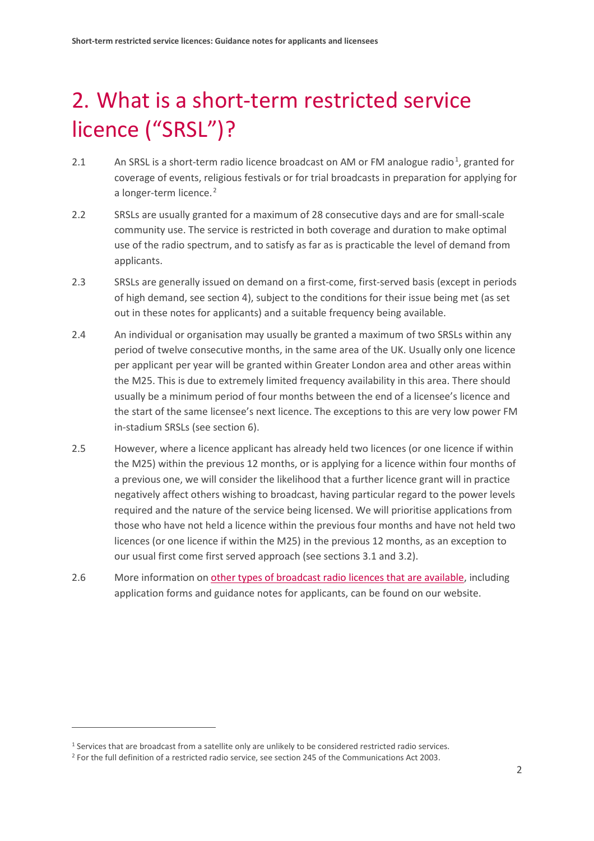# <span id="page-3-0"></span>2. What is a short-term restricted service licence ("SRSL")?

- 2.[1](#page-3-1) An SRSL is a short-term radio licence broadcast on AM or FM analogue radio<sup>1</sup>, granted for coverage of events, religious festivals or for trial broadcasts in preparation for applying for a longer-term licence. [2](#page-3-2)
- 2.2 SRSLs are usually granted for a maximum of 28 consecutive days and are for small-scale community use. The service is restricted in both coverage and duration to make optimal use of the radio spectrum, and to satisfy as far as is practicable the level of demand from applicants.
- 2.3 SRSLs are generally issued on demand on a first-come, first-served basis (except in periods of high demand, see section 4), subject to the conditions for their issue being met (as set out in these notes for applicants) and a suitable frequency being available.
- 2.4 An individual or organisation may usually be granted a maximum of two SRSLs within any period of twelve consecutive months, in the same area of the UK. Usually only one licence per applicant per year will be granted within Greater London area and other areas within the M25. This is due to extremely limited frequency availability in this area. There should usually be a minimum period of four months between the end of a licensee's licence and the start of the same licensee's next licence. The exceptions to this are very low power FM in-stadium SRSLs (see section 6).
- 2.5 However, where a licence applicant has already held two licences (or one licence if within the M25) within the previous 12 months, or is applying for a licence within four months of a previous one, we will consider the likelihood that a further licence grant will in practice negatively affect others wishing to broadcast, having particular regard to the power levels required and the nature of the service being licensed. We will prioritise applications from those who have not held a licence within the previous four months and have not held two licences (or one licence if within the M25) in the previous 12 months, as an exception to our usual first come first served approach (see sections 3.1 and 3.2).
- 2.6 More information on [other types of broadcast radio licences that are available,](https://www.ofcom.org.uk/manage-your-licence/radio-broadcast-licensing) including application forms and guidance notes for applicants, can be found on our website.

<span id="page-3-1"></span><sup>1</sup> Services that are broadcast from a satellite only are unlikely to be considered restricted radio services.

<span id="page-3-2"></span><sup>&</sup>lt;sup>2</sup> For the full definition of a restricted radio service, see section 245 of the Communications Act 2003.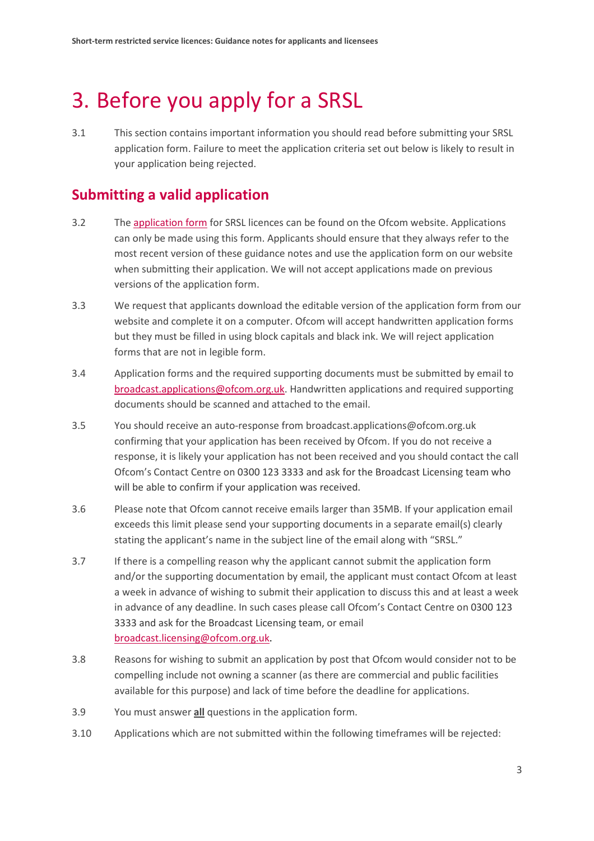## <span id="page-4-0"></span>3. Before you apply for a SRSL

3.1 This section contains important information you should read before submitting your SRSL application form. Failure to meet the application criteria set out below is likely to result in your application being rejected.

## **Submitting a valid application**

- 3.2 Th[e application form](https://www.ofcom.org.uk/__data/assets/file/0019/10576/rsl-application-form.docx) for SRSL licences can be found on the Ofcom website. Applications can only be made using this form. Applicants should ensure that they always refer to the most recent version of these guidance notes and use the application form on our website when submitting their application. We will not accept applications made on previous versions of the application form.
- 3.3 We request that applicants download the editable version of the application form from our website and complete it on a computer. Ofcom will accept handwritten application forms but they must be filled in using block capitals and black ink. We will reject application forms that are not in legible form.
- 3.4 Application forms and the required supporting documents must be submitted by email to [broadcast.applications@ofcom.org.uk.](mailto:broadcast.applications@ofcom.org.uk) Handwritten applications and required supporting documents should be scanned and attached to the email.
- 3.5 You should receive an auto-response from broadcast.applications@ofcom.org.uk confirming that your application has been received by Ofcom. If you do not receive a response, it is likely your application has not been received and you should contact the call Ofcom's Contact Centre on 0300 123 3333 and ask for the Broadcast Licensing team who will be able to confirm if your application was received.
- 3.6 Please note that Ofcom cannot receive emails larger than 35MB. If your application email exceeds this limit please send your supporting documents in a separate email(s) clearly stating the applicant's name in the subject line of the email along with "SRSL."
- 3.7 If there is a compelling reason why the applicant cannot submit the application form and/or the supporting documentation by email, the applicant must contact Ofcom at least a week in advance of wishing to submit their application to discuss this and at least a week in advance of any deadline. In such cases please call Ofcom's Contact Centre on 0300 123 3333 and ask for the Broadcast Licensing team, or email [broadcast.licensing@ofcom.org.uk.](mailto:broadcast.licensing@ofcom.org.uk)
- 3.8 Reasons for wishing to submit an application by post that Ofcom would consider not to be compelling include not owning a scanner (as there are commercial and public facilities available for this purpose) and lack of time before the deadline for applications.
- 3.9 You must answer **all** questions in the application form.
- 3.10 Applications which are not submitted within the following timeframes will be rejected: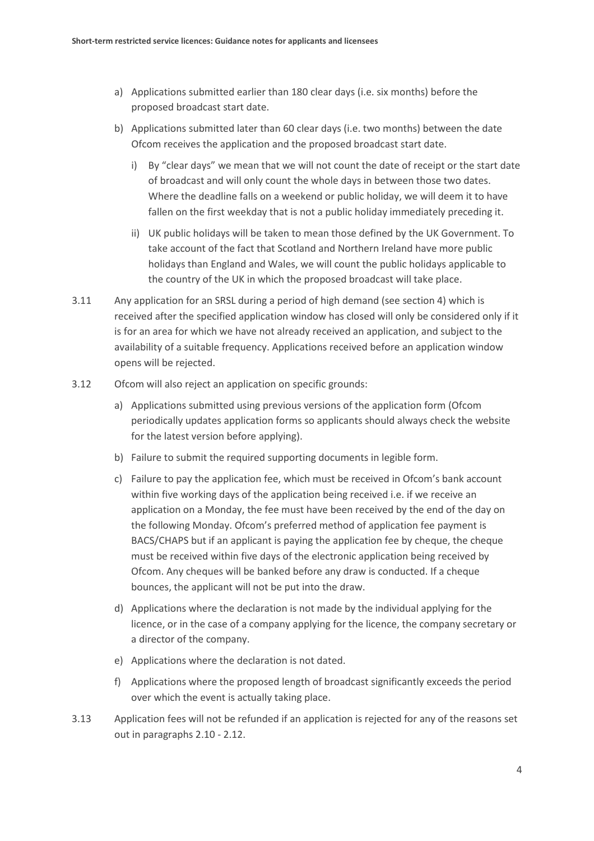- a) Applications submitted earlier than 180 clear days (i.e. six months) before the proposed broadcast start date.
- b) Applications submitted later than 60 clear days (i.e. two months) between the date Ofcom receives the application and the proposed broadcast start date.
	- i) By "clear days" we mean that we will not count the date of receipt or the start date of broadcast and will only count the whole days in between those two dates. Where the deadline falls on a weekend or public holiday, we will deem it to have fallen on the first weekday that is not a public holiday immediately preceding it.
	- ii) UK public holidays will be taken to mean thos[e defined by the UK Government.](https://www.gov.uk/bank-holidays) To take account of the fact that Scotland and Northern Ireland have more public holidays than England and Wales, we will count the public holidays applicable to the country of the UK in which the proposed broadcast will take place.
- 3.11 Any application for an SRSL during a period of high demand (see section 4) which is received after the specified application window has closed will only be considered only if it is for an area for which we have not already received an application, and subject to the availability of a suitable frequency. Applications received before an application window opens will be rejected.
- 3.12 Ofcom will also reject an application on specific grounds:
	- a) Applications submitted using previous versions of the application form (Ofcom periodically updates application forms so applicants should always check the website for the latest version before applying).
	- b) Failure to submit the required supporting documents in legible form.
	- c) Failure to pay the application fee, which must be received in Ofcom's bank account within five working days of the application being received i.e. if we receive an application on a Monday, the fee must have been received by the end of the day on the following Monday. Ofcom's preferred method of application fee payment is BACS/CHAPS but if an applicant is paying the application fee by cheque, the cheque must be received within five days of the electronic application being received by Ofcom. Any cheques will be banked before any draw is conducted. If a cheque bounces, the applicant will not be put into the draw.
	- d) Applications where the declaration is not made by the individual applying for the licence, or in the case of a company applying for the licence, the company secretary or a director of the company.
	- e) Applications where the declaration is not dated.
	- f) Applications where the proposed length of broadcast significantly exceeds the period over which the event is actually taking place.
- 3.13 Application fees will not be refunded if an application is rejected for any of the reasons set out in paragraphs 2.10 - 2.12.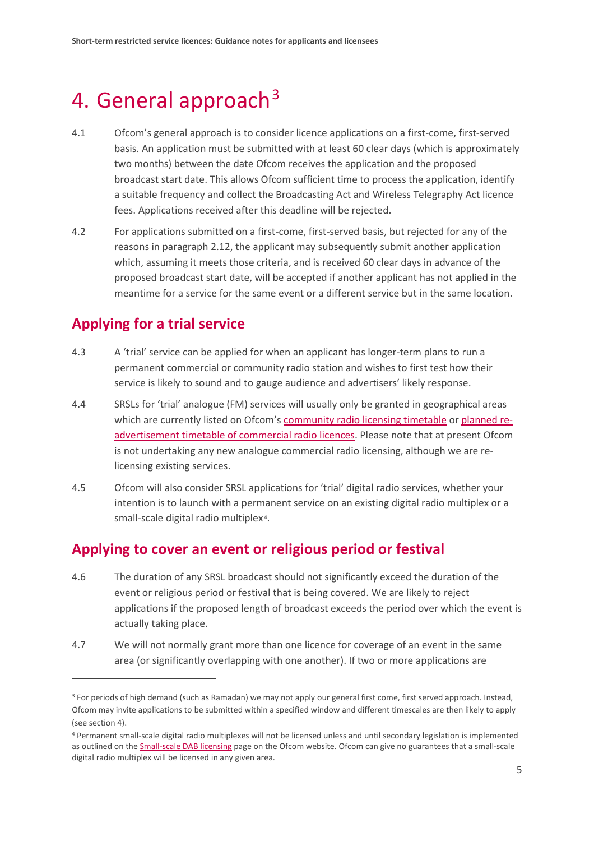## <span id="page-6-0"></span>4. General approach<sup>[3](#page-6-1)</sup>

- 4.1 Ofcom's general approach is to consider licence applications on a first-come, first-served basis. An application must be submitted with at least 60 clear days (which is approximately two months) between the date Ofcom receives the application and the proposed broadcast start date. This allows Ofcom sufficient time to process the application, identify a suitable frequency and collect the Broadcasting Act and Wireless Telegraphy Act licence fees. Applications received after this deadline will be rejected.
- 4.2 For applications submitted on a first-come, first-served basis, but rejected for any of the reasons in paragraph 2.12, the applicant may subsequently submit another application which, assuming it meets those criteria, and is received 60 clear days in advance of the proposed broadcast start date, will be accepted if another applicant has not applied in the meantime for a service for the same event or a different service but in the same location.

### **Applying for a trial service**

 $\overline{a}$ 

- 4.3 A 'trial' service can be applied for when an applicant has longer-term plans to run a permanent commercial or community radio station and wishes to first test how their service is likely to sound and to gauge audience and advertisers' likely response.
- 4.4 SRSLs for 'trial' analogue (FM) services will usually only be granted in geographical areas which are currently listed on Ofcom's [community radio licensing timetable](https://www.ofcom.org.uk/manage-your-licence/radio-broadcast-licensing/community-radio/community-radio-regions/timetable) or [planned re](https://www.ofcom.org.uk/manage-your-licence/radio-broadcast-licensing/apply-for-a-radio-broadcast-licence/timetable-for-analogue-re-ads)[advertisement timetable of commercial radio licences.](https://www.ofcom.org.uk/manage-your-licence/radio-broadcast-licensing/apply-for-a-radio-broadcast-licence/timetable-for-analogue-re-ads) Please note that at present Ofcom is not undertaking any new analogue commercial radio licensing, although we are relicensing existing services.
- 4.5 Ofcom will also consider SRSL applications for 'trial' digital radio services, whether your intention is to launch with a permanent service on an existing digital radio multiplex or a small-scale digital radio multiplex<sup>4</sup>.

### **Applying to cover an event or religious period or festival**

- 4.6 The duration of any SRSL broadcast should not significantly exceed the duration of the event or religious period or festival that is being covered. We are likely to reject applications if the proposed length of broadcast exceeds the period over which the event is actually taking place.
- 4.7 We will not normally grant more than one licence for coverage of an event in the same area (or significantly overlapping with one another). If two or more applications are

<span id="page-6-1"></span><sup>&</sup>lt;sup>3</sup> For periods of high demand (such as Ramadan) we may not apply our general first come, first served approach. Instead, Ofcom may invite applications to be submitted within a specified window and different timescales are then likely to apply (see section 4).

<span id="page-6-2"></span><sup>4</sup> Permanent small-scale digital radio multiplexes will not be licensed unless and until secondary legislation is implemented as outlined on th[e Small-scale DAB licensing](https://www.ofcom.org.uk/manage-your-licence/radio-broadcast-licensing/small-scale-DAB-licensing) page on the Ofcom website. Ofcom can give no guarantees that a small-scale digital radio multiplex will be licensed in any given area.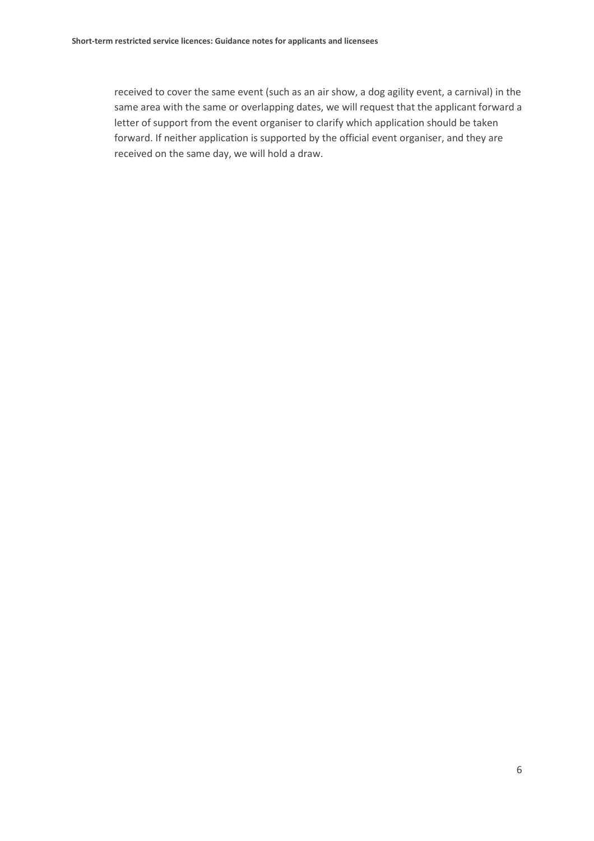received to cover the same event (such as an air show, a dog agility event, a carnival) in the same area with the same or overlapping dates, we will request that the applicant forward a letter of support from the event organiser to clarify which application should be taken forward. If neither application is supported by the official event organiser, and they are received on the same day, we will hold a draw.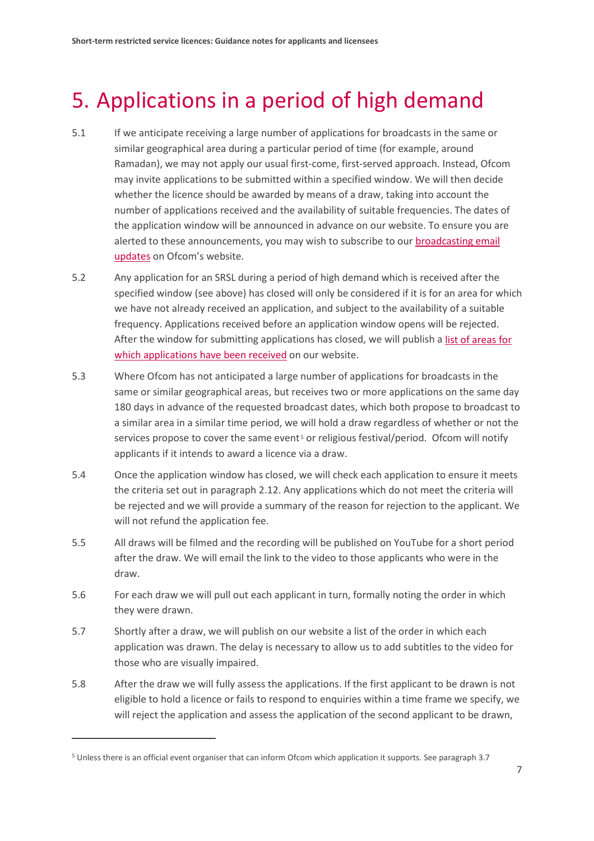## <span id="page-8-0"></span>5. Applications in a period of high demand

- 5.1 If we anticipate receiving a large number of applications for broadcasts in the same or similar geographical area during a particular period of time (for example, around Ramadan), we may not apply our usual first-come, first-served approach. Instead, Ofcom may invite applications to be submitted within a specified window. We will then decide whether the licence should be awarded by means of a draw, taking into account the number of applications received and the availability of suitable frequencies. The dates of the application window will be announced in advance on our website. To ensure you are alerted to these announcements, you may wish to subscribe to our [broadcasting email](https://www.ofcom.org.uk/about-ofcom/latest/email-updates)  [updates](https://www.ofcom.org.uk/about-ofcom/latest/email-updates) on Ofcom's website.
- 5.2 Any application for an SRSL during a period of high demand which is received after the specified window (see above) has closed will only be considered if it is for an area for which we have not already received an application, and subject to the availability of a suitable frequency. Applications received before an application window opens will be rejected. After the window for submitting applications has closed, we will publish [a list of areas for](https://www.ofcom.org.uk/manage-your-licence/radio-broadcast-licensing/apply-for-a-radio-broadcast-licence/timetable-for-analogue-re-ads)  [which applications](https://www.ofcom.org.uk/manage-your-licence/radio-broadcast-licensing/apply-for-a-radio-broadcast-licence/timetable-for-analogue-re-ads) have been received on our website.
- 5.3 Where Ofcom has not anticipated a large number of applications for broadcasts in the same or similar geographical areas, but receives two or more applications on the same day 180 days in advance of the requested broadcast dates, which both propose to broadcast to a similar area in a similar time period, we will hold a draw regardless of whether or not the services propose to cover the same event<sup>[5](#page-8-1)</sup> or religious festival/period. Ofcom will notify applicants if it intends to award a licence via a draw.
- 5.4 Once the application window has closed, we will check each application to ensure it meets the criteria set out in paragraph 2.12. Any applications which do not meet the criteria will be rejected and we will provide a summary of the reason for rejection to the applicant. We will not refund the application fee.
- 5.5 All draws will be filmed and the recording will be published on YouTube for a short period after the draw. We will email the link to the video to those applicants who were in the draw.
- 5.6 For each draw we will pull out each applicant in turn, formally noting the order in which they were drawn.
- 5.7 Shortly after a draw, we will publish on our website a list of the order in which each application was drawn. The delay is necessary to allow us to add subtitles to the video for those who are visually impaired.
- 5.8 After the draw we will fully assess the applications. If the first applicant to be drawn is not eligible to hold a licence or fails to respond to enquiries within a time frame we specify, we will reject the application and assess the application of the second applicant to be drawn,

<span id="page-8-1"></span><sup>5</sup> Unless there is an official event organiser that can inform Ofcom which application it supports. See paragraph 3.7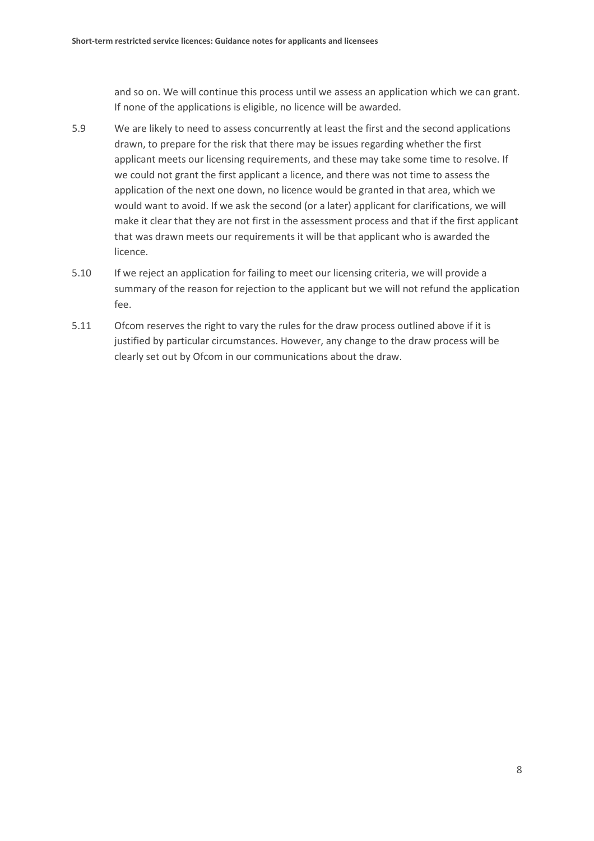and so on. We will continue this process until we assess an application which we can grant. If none of the applications is eligible, no licence will be awarded.

- 5.9 We are likely to need to assess concurrently at least the first and the second applications drawn, to prepare for the risk that there may be issues regarding whether the first applicant meets our licensing requirements, and these may take some time to resolve. If we could not grant the first applicant a licence, and there was not time to assess the application of the next one down, no licence would be granted in that area, which we would want to avoid. If we ask the second (or a later) applicant for clarifications, we will make it clear that they are not first in the assessment process and that if the first applicant that was drawn meets our requirements it will be that applicant who is awarded the licence.
- 5.10 If we reject an application for failing to meet our licensing criteria, we will provide a summary of the reason for rejection to the applicant but we will not refund the application fee.
- 5.11 Ofcom reserves the right to vary the rules for the draw process outlined above if it is justified by particular circumstances. However, any change to the draw process will be clearly set out by Ofcom in our communications about the draw.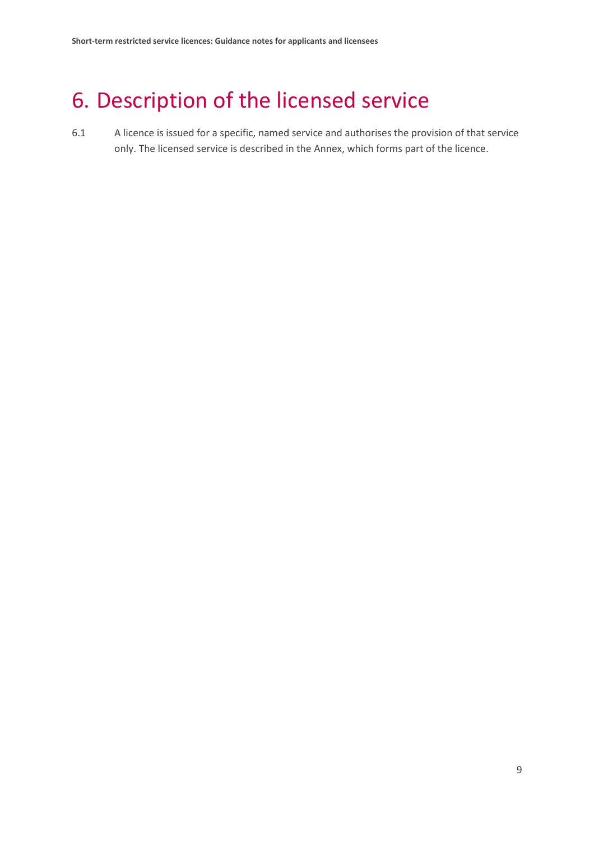## <span id="page-10-0"></span>6. Description of the licensed service

6.1 A licence is issued for a specific, named service and authorises the provision of that service only. The licensed service is described in the Annex, which forms part of the licence.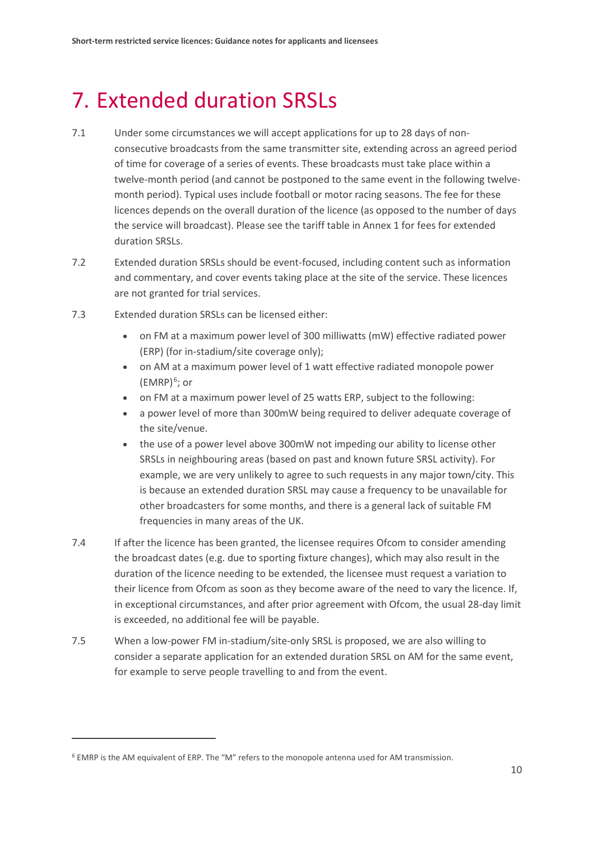# <span id="page-11-0"></span>7. Extended duration SRSLs

- 7.1 Under some circumstances we will accept applications for up to 28 days of nonconsecutive broadcasts from the same transmitter site, extending across an agreed period of time for coverage of a series of events. These broadcasts must take place within a twelve-month period (and cannot be postponed to the same event in the following twelvemonth period). Typical uses include football or motor racing seasons. The fee for these licences depends on the overall duration of the licence (as opposed to the number of days the service will broadcast). Please see the tariff table in Annex 1 for fees for extended duration SRSLs.
- 7.2 Extended duration SRSLs should be event-focused, including content such as information and commentary, and cover events taking place at the site of the service. These licences are not granted for trial services.
- 7.3 Extended duration SRSLs can be licensed either:
	- on FM at a maximum power level of 300 milliwatts (mW) effective radiated power (ERP) (for in-stadium/site coverage only);
	- on AM at a maximum power level of 1 watt effective radiated monopole power (EMRP) $<sup>6</sup>$  $<sup>6</sup>$  $<sup>6</sup>$ ; or</sup>
	- on FM at a maximum power level of 25 watts ERP, subject to the following:
	- a power level of more than 300mW being required to deliver adequate coverage of the site/venue.
	- the use of a power level above 300mW not impeding our ability to license other SRSLs in neighbouring areas (based on past and known future SRSL activity). For example, we are very unlikely to agree to such requests in any major town/city. This is because an extended duration SRSL may cause a frequency to be unavailable for other broadcasters for some months, and there is a general lack of suitable FM frequencies in many areas of the UK.
- 7.4 If after the licence has been granted, the licensee requires Ofcom to consider amending the broadcast dates (e.g. due to sporting fixture changes), which may also result in the duration of the licence needing to be extended, the licensee must request a variation to their licence from Ofcom as soon as they become aware of the need to vary the licence. If, in exceptional circumstances, and after prior agreement with Ofcom, the usual 28-day limit is exceeded, no additional fee will be payable.
- 7.5 When a low-power FM in-stadium/site-only SRSL is proposed, we are also willing to consider a separate application for an extended duration SRSL on AM for the same event, for example to serve people travelling to and from the event.

<span id="page-11-1"></span><sup>6</sup> EMRP is the AM equivalent of ERP. The "M" refers to the monopole antenna used for AM transmission.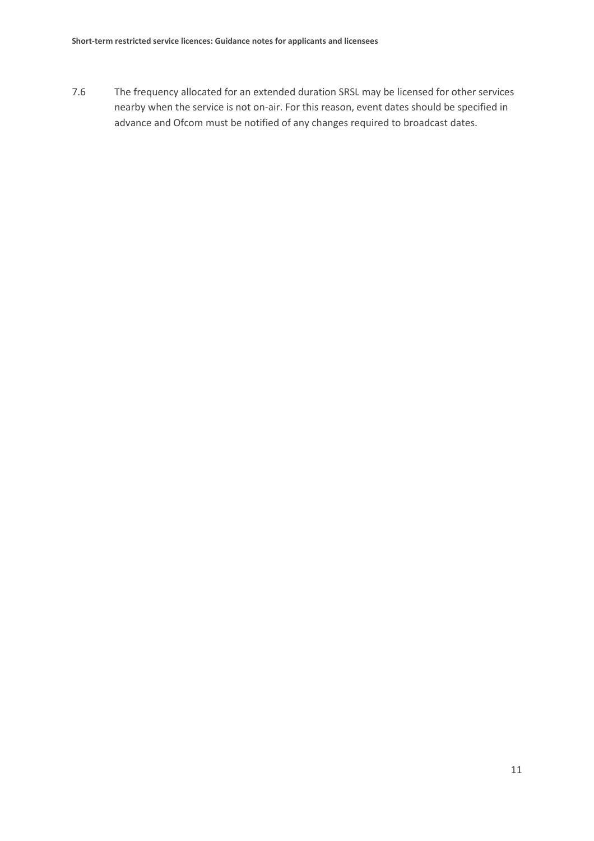7.6 The frequency allocated for an extended duration SRSL may be licensed for other services nearby when the service is not on-air. For this reason, event dates should be specified in advance and Ofcom must be notified of any changes required to broadcast dates.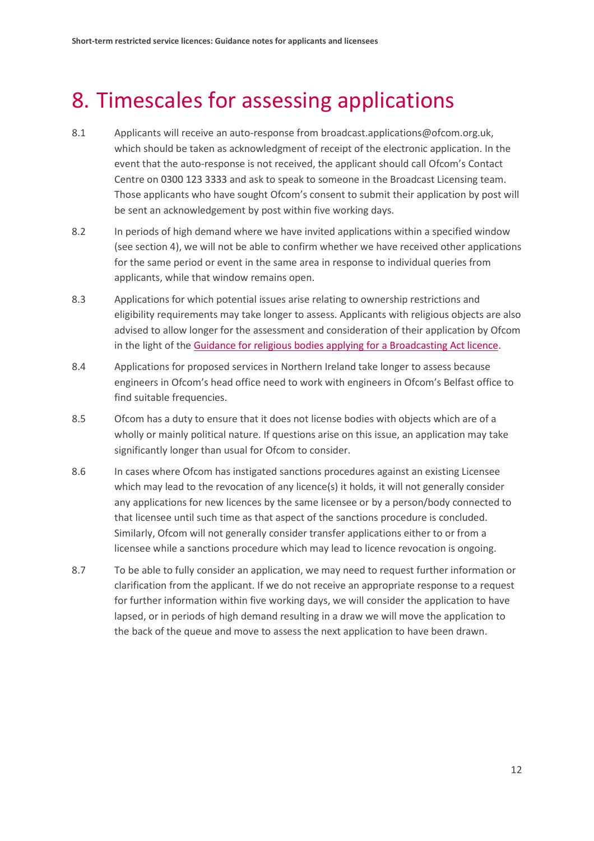## <span id="page-13-0"></span>8. Timescales for assessing applications

- 8.1 Applicants will receive an auto-response from broadcast.applications@ofcom.org.uk, which should be taken as acknowledgment of receipt of the electronic application. In the event that the auto-response is not received, the applicant should call Ofcom's Contact Centre on 0300 123 3333 and ask to speak to someone in the Broadcast Licensing team. Those applicants who have sought Ofcom's consent to submit their application by post will be sent an acknowledgement by post within five working days.
- 8.2 In periods of high demand where we have invited applications within a specified window (see section 4), we will not be able to confirm whether we have received other applications for the same period or event in the same area in response to individual queries from applicants, while that window remains open.
- 8.3 Applications for which potential issues arise relating to ownership restrictions and eligibility requirements may take longer to assess. Applicants with religious objects are also advised to allow longer for the assessment and consideration of their application by Ofcom in the light of the [Guidance for religious bodies applying for a Broadcasting Act licence.](https://www.ofcom.org.uk/__data/assets/pdf_file/0028/88219/Guidance-for-religious-bodies.pdf)
- 8.4 Applications for proposed services in Northern Ireland take longer to assess because engineers in Ofcom's head office need to work with engineers in Ofcom's Belfast office to find suitable frequencies.
- 8.5 Ofcom has a duty to ensure that it does not license bodies with objects which are of a wholly or mainly political nature. If questions arise on this issue, an application may take significantly longer than usual for Ofcom to consider.
- 8.6 In cases where Ofcom has instigated sanctions procedures against an existing Licensee which may lead to the revocation of any licence(s) it holds, it will not generally consider any applications for new licences by the same licensee or by a person/body connected to that licensee until such time as that aspect of the sanctions procedure is concluded. Similarly, Ofcom will not generally consider transfer applications either to or from a licensee while a sanctions procedure which may lead to licence revocation is ongoing.
- 8.7 To be able to fully consider an application, we may need to request further information or clarification from the applicant. If we do not receive an appropriate response to a request for further information within five working days, we will consider the application to have lapsed, or in periods of high demand resulting in a draw we will move the application to the back of the queue and move to assess the next application to have been drawn.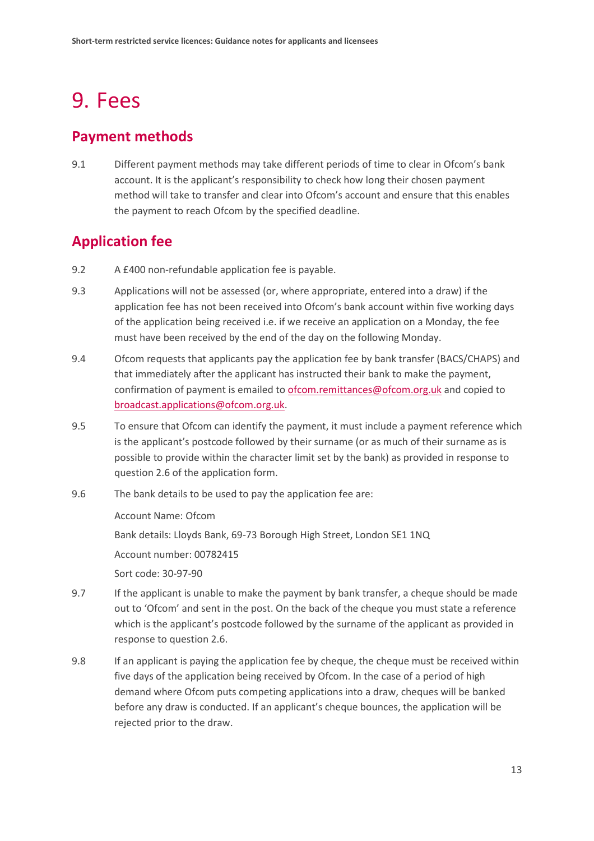## <span id="page-14-0"></span>9. Fees

### **Payment methods**

9.1 Different payment methods may take different periods of time to clear in Ofcom's bank account. It is the applicant's responsibility to check how long their chosen payment method will take to transfer and clear into Ofcom's account and ensure that this enables the payment to reach Ofcom by the specified deadline.

## **Application fee**

- 9.2 A £400 non-refundable application fee is payable.
- 9.3 Applications will not be assessed (or, where appropriate, entered into a draw) if the application fee has not been received into Ofcom's bank account within five working days of the application being received i.e. if we receive an application on a Monday, the fee must have been received by the end of the day on the following Monday.
- 9.4 Ofcom requests that applicants pay the application fee by bank transfer (BACS/CHAPS) and that immediately after the applicant has instructed their bank to make the payment, confirmation of payment is emailed to [ofcom.remittances@ofcom.org.uk](mailto:ofcom.remittances@ofcom.org.uk) and copied to [broadcast.applications@ofcom.org.uk.](mailto:broadcast.applications@ofcom.org.uk)
- 9.5 To ensure that Ofcom can identify the payment, it must include a payment reference which is the applicant's postcode followed by their surname (or as much of their surname as is possible to provide within the character limit set by the bank) as provided in response to question 2.6 of the application form.
- 9.6 The bank details to be used to pay the application fee are:

Account Name: Ofcom

Bank details: Lloyds Bank, 69-73 Borough High Street, London SE1 1NQ

Account number: 00782415

Sort code: 30-97-90

- 9.7 If the applicant is unable to make the payment by bank transfer, a cheque should be made out to 'Ofcom' and sent in the post. On the back of the cheque you must state a reference which is the applicant's postcode followed by the surname of the applicant as provided in response to question 2.6.
- 9.8 If an applicant is paying the application fee by cheque, the cheque must be received within five days of the application being received by Ofcom. In the case of a period of high demand where Ofcom puts competing applications into a draw, cheques will be banked before any draw is conducted. If an applicant's cheque bounces, the application will be rejected prior to the draw.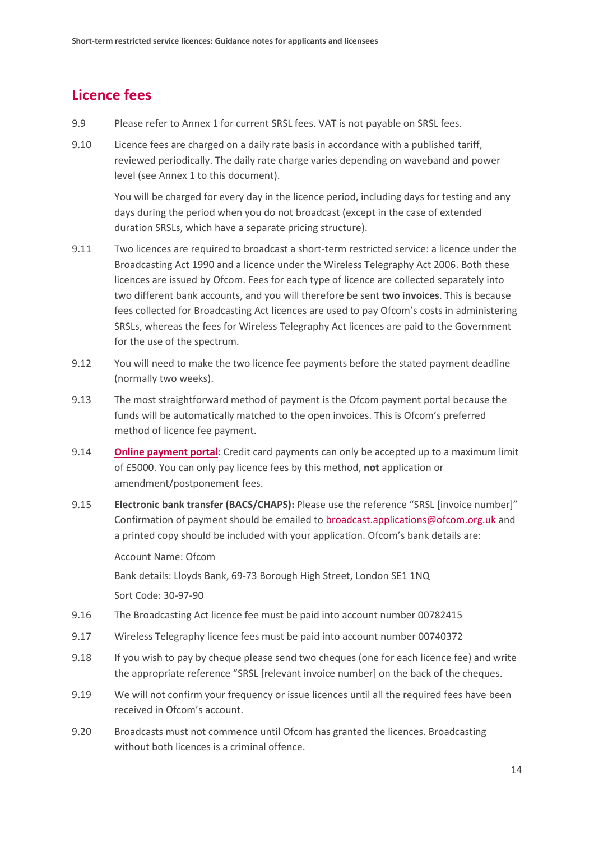## **Licence fees**

- 9.9 Please refer to Annex 1 for current SRSL fees. VAT is not payable on SRSL fees.
- 9.10 Licence fees are charged on a daily rate basis in accordance with a published tariff, reviewed periodically. The daily rate charge varies depending on waveband and power level (see Annex 1 to this document).

You will be charged for every day in the licence period, including days for testing and any days during the period when you do not broadcast (except in the case of extended duration SRSLs, which have a separate pricing structure).

- 9.11 Two licences are required to broadcast a short-term restricted service: a licence under the Broadcasting Act 1990 and a licence under the Wireless Telegraphy Act 2006. Both these licences are issued by Ofcom. Fees for each type of licence are collected separately into two different bank accounts, and you will therefore be sent **two invoices**. This is because fees collected for Broadcasting Act licences are used to pay Ofcom's costs in administering SRSLs, whereas the fees for Wireless Telegraphy Act licences are paid to the Government for the use of the spectrum.
- 9.12 You will need to make the two licence fee payments before the stated payment deadline (normally two weeks).
- 9.13 The most straightforward method of payment is the Ofcom payment portal because the funds will be automatically matched to the open invoices. This is Ofcom's preferred method of licence fee payment.
- 9.14 **[Online payment portal](https://secure.ofcom.org.uk/payments/)**: Credit card payments can only be accepted up to a maximum limit of £5000. You can only pay licence fees by this method, **not** application or amendment/postponement fees.
- 9.15 **Electronic bank transfer (BACS/CHAPS):** Please use the reference "SRSL [invoice number]" Confirmation of payment should be emailed to [broadcast.applications@ofcom.org.uk](mailto:broadcast.applications@ofcom.org.uk) and a printed copy should be included with your application. Ofcom's bank details are:

Account Name: Ofcom

Bank details: Lloyds Bank, 69-73 Borough High Street, London SE1 1NQ

Sort Code: 30-97-90

- 9.16 The Broadcasting Act licence fee must be paid into account number 00782415
- 9.17 Wireless Telegraphy licence fees must be paid into account number 00740372
- 9.18 If you wish to pay by cheque please send two cheques (one for each licence fee) and write the appropriate reference "SRSL [relevant invoice number] on the back of the cheques.
- 9.19 We will not confirm your frequency or issue licences until all the required fees have been received in Ofcom's account.
- 9.20 Broadcasts must not commence until Ofcom has granted the licences. Broadcasting without both licences is a criminal offence.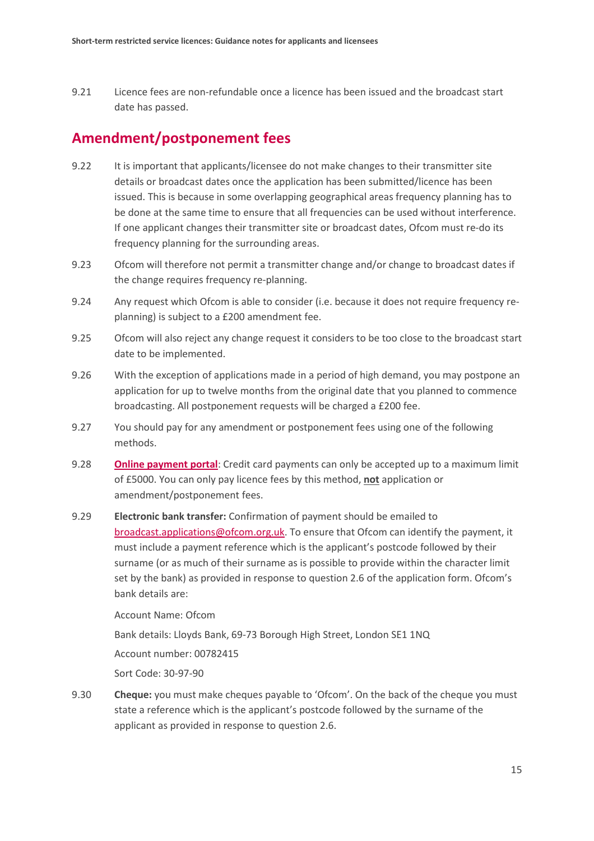9.21 Licence fees are non-refundable once a licence has been issued and the broadcast start date has passed.

### **Amendment/postponement fees**

- 9.22 It is important that applicants/licensee do not make changes to their transmitter site details or broadcast dates once the application has been submitted/licence has been issued. This is because in some overlapping geographical areas frequency planning has to be done at the same time to ensure that all frequencies can be used without interference. If one applicant changes their transmitter site or broadcast dates, Ofcom must re-do its frequency planning for the surrounding areas.
- 9.23 Ofcom will therefore not permit a transmitter change and/or change to broadcast dates if the change requires frequency re-planning.
- 9.24 Any request which Ofcom is able to consider (i.e. because it does not require frequency replanning) is subject to a £200 amendment fee.
- 9.25 Ofcom will also reject any change request it considers to be too close to the broadcast start date to be implemented.
- 9.26 With the exception of applications made in a period of high demand, you may postpone an application for up to twelve months from the original date that you planned to commence broadcasting. All postponement requests will be charged a £200 fee.
- 9.27 You should pay for any amendment or postponement fees using one of the following methods.
- 9.28 **[Online payment portal](https://secure.ofcom.org.uk/payments/)**: Credit card payments can only be accepted up to a maximum limit of £5000. You can only pay licence fees by this method, **not** application or amendment/postponement fees.
- 9.29 **Electronic bank transfer:** Confirmation of payment should be emailed to [broadcast.applications@ofcom.org.uk.](mailto:broadcast.applications@ofcom.org.uk) To ensure that Ofcom can identify the payment, it must include a payment reference which is the applicant's postcode followed by their surname (or as much of their surname as is possible to provide within the character limit set by the bank) as provided in response to question 2.6 of the application form. Ofcom's bank details are:

Account Name: Ofcom

Bank details: Lloyds Bank, 69-73 Borough High Street, London SE1 1NQ

Account number: 00782415

Sort Code: 30-97-90

9.30 **Cheque:** you must make cheques payable to 'Ofcom'. On the back of the cheque you must state a reference which is the applicant's postcode followed by the surname of the applicant as provided in response to question 2.6.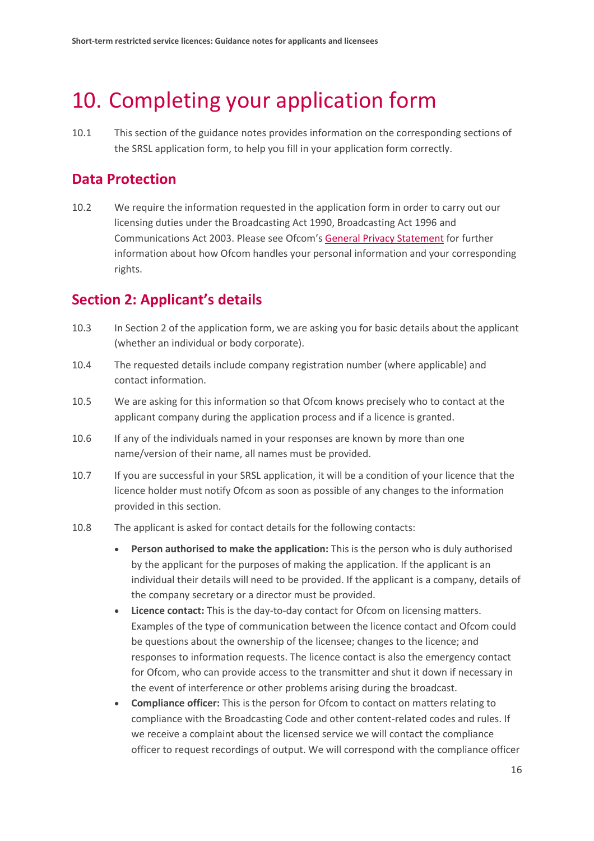## <span id="page-17-0"></span>10. Completing your application form

10.1 This section of the guidance notes provides information on the corresponding sections of the SRSL application form, to help you fill in your application form correctly.

### **Data Protection**

10.2 We require the information requested in the application form in order to carry out our licensing duties under the Broadcasting Act 1990, Broadcasting Act 1996 and Communications Act 2003. Please see Ofcom'[s General Privacy Statement](http://www.ofcom.org.uk/about-ofcom/foi-dp/general-privacy-statement) for further information about how Ofcom handles your personal information and your corresponding rights.

## **Section 2: Applicant's details**

- 10.3 In Section 2 of the application form, we are asking you for basic details about the applicant (whether an individual or body corporate).
- 10.4 The requested details include company registration number (where applicable) and contact information.
- 10.5 We are asking for this information so that Ofcom knows precisely who to contact at the applicant company during the application process and if a licence is granted.
- 10.6 If any of the individuals named in your responses are known by more than one name/version of their name, all names must be provided.
- 10.7 If you are successful in your SRSL application, it will be a condition of your licence that the licence holder must notify Ofcom as soon as possible of any changes to the information provided in this section.
- 10.8 The applicant is asked for contact details for the following contacts:
	- **Person authorised to make the application:** This is the person who is duly authorised by the applicant for the purposes of making the application. If the applicant is an individual their details will need to be provided. If the applicant is a company, details of the company secretary or a director must be provided.
	- **Licence contact:** This is the day-to-day contact for Ofcom on licensing matters. Examples of the type of communication between the licence contact and Ofcom could be questions about the ownership of the licensee; changes to the licence; and responses to information requests. The licence contact is also the emergency contact for Ofcom, who can provide access to the transmitter and shut it down if necessary in the event of interference or other problems arising during the broadcast.
	- **Compliance officer:** This is the person for Ofcom to contact on matters relating to compliance with the Broadcasting Code and other content-related codes and rules. If we receive a complaint about the licensed service we will contact the compliance officer to request recordings of output. We will correspond with the compliance officer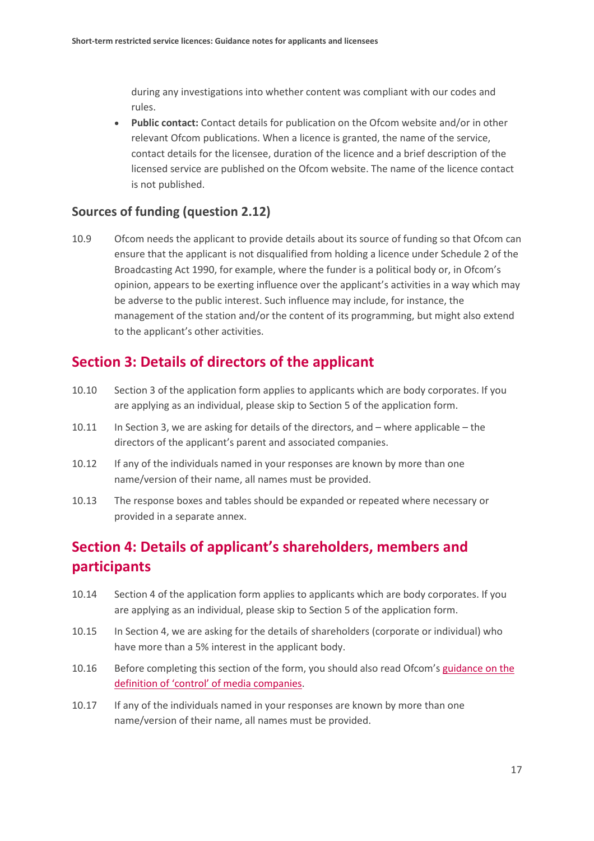during any investigations into whether content was compliant with our codes and rules.

• **Public contact:** Contact details for publication on the Ofcom website and/or in other relevant Ofcom publications. When a licence is granted, the name of the service, contact details for the licensee, duration of the licence and a brief description of the licensed service are published on the Ofcom website. The name of the licence contact is not published.

#### **Sources of funding (question 2.12)**

10.9 Ofcom needs the applicant to provide details about its source of funding so that Ofcom can ensure that the applicant is not disqualified from holding a licence under Schedule 2 of the Broadcasting Act 1990, for example, where the funder is a political body or, in Ofcom's opinion, appears to be exerting influence over the applicant's activities in a way which may be adverse to the public interest. Such influence may include, for instance, the management of the station and/or the content of its programming, but might also extend to the applicant's other activities.

### **Section 3: Details of directors of the applicant**

- 10.10 Section 3 of the application form applies to applicants which are body corporates. If you are applying as an individual, please skip to Section 5 of the application form.
- 10.11 In Section 3, we are asking for details of the directors, and where applicable the directors of the applicant's parent and associated companies.
- 10.12 If any of the individuals named in your responses are known by more than one name/version of their name, all names must be provided.
- 10.13 The response boxes and tables should be expanded or repeated where necessary or provided in a separate annex.

## **Section 4: Details of applicant's shareholders, members and participants**

- 10.14 Section 4 of the application form applies to applicants which are body corporates. If you are applying as an individual, please skip to Section 5 of the application form.
- 10.15 In Section 4, we are asking for the details of shareholders (corporate or individual) who have more than a 5% interest in the applicant body.
- 10.16 Before completing this section of the form, you should also read Ofcom's [guidance on the](https://www.ofcom.org.uk/__data/assets/pdf_file/0022/45292/media_statement.pdf)  [definition of 'control' of media companies.](https://www.ofcom.org.uk/__data/assets/pdf_file/0022/45292/media_statement.pdf)
- 10.17 If any of the individuals named in your responses are known by more than one name/version of their name, all names must be provided.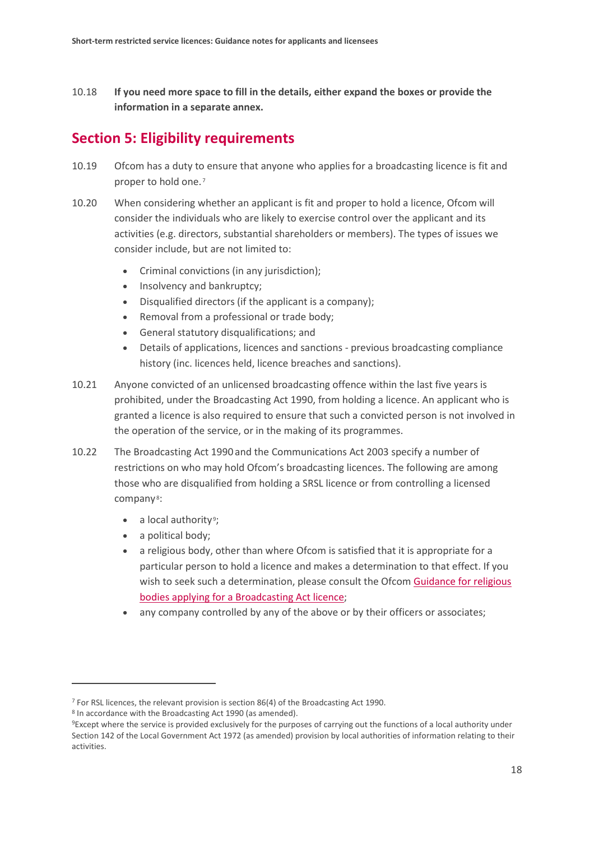10.18 **If you need more space to fill in the details, either expand the boxes or provide the information in a separate annex.**

## **Section 5: Eligibility requirements**

- 10.19 Ofcom has a duty to ensure that anyone who applies for a broadcasting licence is fit and proper to hold one.<sup>[7](#page-19-0)</sup>
- 10.20 When considering whether an applicant is fit and proper to hold a licence, Ofcom will consider the individuals who are likely to exercise control over the applicant and its activities (e.g. directors, substantial shareholders or members). The types of issues we consider include, but are not limited to:
	- Criminal convictions (in any jurisdiction);
	- Insolvency and bankruptcy;
	- Disqualified directors (if the applicant is a company);
	- Removal from a professional or trade body;
	- General statutory disqualifications; and
	- Details of applications, licences and sanctions previous broadcasting compliance history (inc. licences held, licence breaches and sanctions).
- 10.21 Anyone convicted of an unlicensed broadcasting offence within the last five years is prohibited, under the Broadcasting Act 1990, from holding a licence. An applicant who is granted a licence is also required to ensure that such a convicted person is not involved in the operation of the service, or in the making of its programmes.
- 10.22 The Broadcasting Act 1990 and the Communications Act 2003 specify a number of restrictions on who may hold Ofcom's broadcasting licences. The following are among those who are disqualified from holding a SRSL licence or from controlling a licensed company<sup>8</sup>:
	- $\bullet$  a local authority<sup>[9](#page-19-2)</sup>;
	- a political body;
	- a religious body, other than where Ofcom is satisfied that it is appropriate for a particular person to hold a licence and makes a determination to that effect. If you wish to seek such a determination, please consult the Ofcom Guidance for religious [bodies applying for a Broadcasting Act licence;](https://www.ofcom.org.uk/__data/assets/pdf_file/0028/88219/Guidance-for-religious-bodies.pdf)
	- any company controlled by any of the above or by their officers or associates;

<span id="page-19-1"></span><sup>8</sup> In accordance with the Broadcasting Act 1990 (as amended).

<span id="page-19-0"></span><sup>7</sup> For RSL licences, the relevant provision is section 86(4) of the Broadcasting Act 1990.

<span id="page-19-2"></span><sup>9</sup>Except where the service is provided exclusively for the purposes of carrying out the functions of a local authority under Section 142 of the Local Government Act 1972 (as amended) provision by local authorities of information relating to their activities.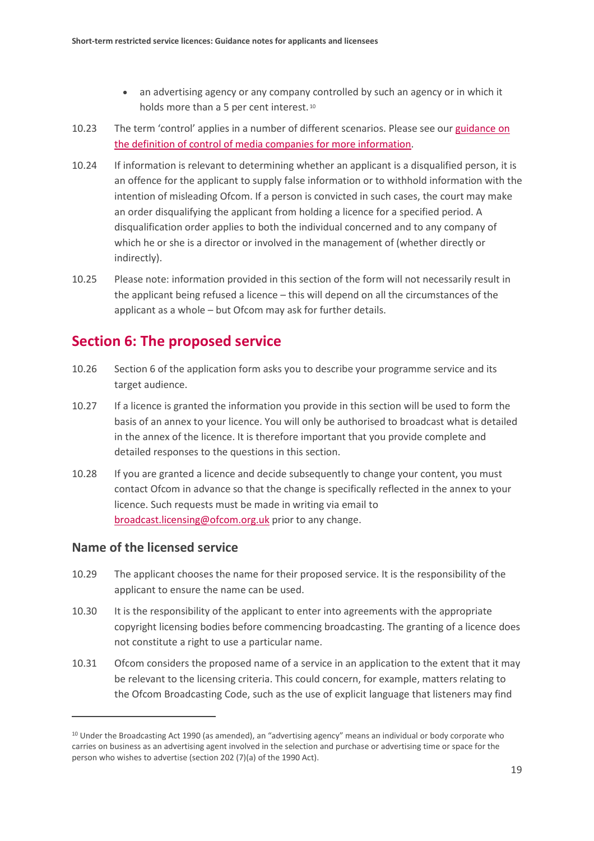- an advertising agency or any company controlled by such an agency or in which it holds more than a 5 per cent interest.<sup>[10](#page-20-0)</sup>
- 10.23 The term 'control' applies in a number of different scenarios. Please see our [guidance on](https://www.ofcom.org.uk/__data/assets/pdf_file/0022/45292/media_statement.pdf)  [the definition of control of media companies for more information.](https://www.ofcom.org.uk/__data/assets/pdf_file/0022/45292/media_statement.pdf)
- 10.24 If information is relevant to determining whether an applicant is a disqualified person, it is an offence for the applicant to supply false information or to withhold information with the intention of misleading Ofcom. If a person is convicted in such cases, the court may make an order disqualifying the applicant from holding a licence for a specified period. A disqualification order applies to both the individual concerned and to any company of which he or she is a director or involved in the management of (whether directly or indirectly).
- 10.25 Please note: information provided in this section of the form will not necessarily result in the applicant being refused a licence – this will depend on all the circumstances of the applicant as a whole – but Ofcom may ask for further details.

## **Section 6: The proposed service**

- 10.26 Section 6 of the application form asks you to describe your programme service and its target audience.
- 10.27 If a licence is granted the information you provide in this section will be used to form the basis of an annex to your licence. You will only be authorised to broadcast what is detailed in the annex of the licence. It is therefore important that you provide complete and detailed responses to the questions in this section.
- 10.28 If you are granted a licence and decide subsequently to change your content, you must contact Ofcom in advance so that the change is specifically reflected in the annex to your licence. Such requests must be made in writing via email to [broadcast.licensing@ofcom.org.uk](mailto:broadcast.licensing@ofcom.org.uk) prior to any change.

#### **Name of the licensed service**

- 10.29 The applicant chooses the name for their proposed service. It is the responsibility of the applicant to ensure the name can be used.
- 10.30 It is the responsibility of the applicant to enter into agreements with the appropriate copyright licensing bodies before commencing broadcasting. The granting of a licence does not constitute a right to use a particular name.
- 10.31 Ofcom considers the proposed name of a service in an application to the extent that it may be relevant to the licensing criteria. This could concern, for example, matters relating to the Ofcom Broadcasting Code, such as the use of explicit language that listeners may find

<span id="page-20-0"></span><sup>10</sup> Under the Broadcasting Act 1990 (as amended), an "advertising agency" means an individual or body corporate who carries on business as an advertising agent involved in the selection and purchase or advertising time or space for the person who wishes to advertise (section 202 (7)(a) of the 1990 Act).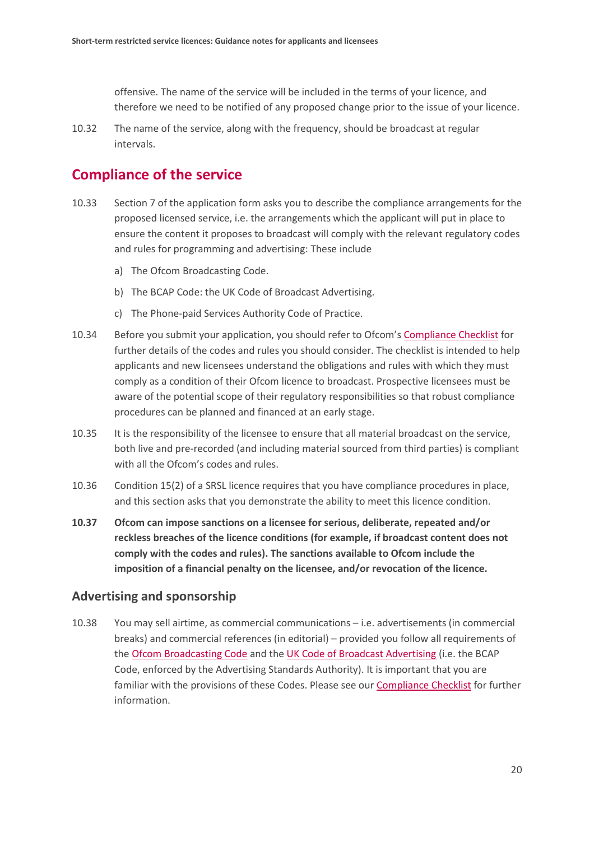offensive. The name of the service will be included in the terms of your licence, and therefore we need to be notified of any proposed change prior to the issue of your licence.

10.32 The name of the service, along with the frequency, should be broadcast at regular intervals.

### **Compliance of the service**

- 10.33 Section 7 of the application form asks you to describe the compliance arrangements for the proposed licensed service, i.e. the arrangements which the applicant will put in place to ensure the content it proposes to broadcast will comply with the relevant regulatory codes and rules for programming and advertising: These include
	- a) The Ofcom Broadcasting Code.
	- b) The BCAP Code: the UK Code of Broadcast Advertising.
	- c) The Phone-paid Services Authority Code of Practice.
- 10.34 Before you submit your application, you should refer to Ofcom'[s Compliance Checklist](https://www.ofcom.org.uk/__data/assets/pdf_file/0023/44636/compliance_checklist_for_radio_broadcasters.pdf) for further details of the codes and rules you should consider. The checklist is intended to help applicants and new licensees understand the obligations and rules with which they must comply as a condition of their Ofcom licence to broadcast. Prospective licensees must be aware of the potential scope of their regulatory responsibilities so that robust compliance procedures can be planned and financed at an early stage.
- 10.35 It is the responsibility of the licensee to ensure that all material broadcast on the service, both live and pre-recorded (and including material sourced from third parties) is compliant with all the Ofcom's codes and rules.
- 10.36 Condition 15(2) of a SRSL licence requires that you have compliance procedures in place, and this section asks that you demonstrate the ability to meet this licence condition.
- **10.37 Ofcom can impose sanctions on a licensee for serious, deliberate, repeated and/or reckless breaches of the licence conditions (for example, if broadcast content does not comply with the codes and rules). The sanctions available to Ofcom include the imposition of a financial penalty on the licensee, and/or revocation of the licence.**

#### **Advertising and sponsorship**

10.38 You may sell airtime, as commercial communications – i.e. advertisements (in commercial breaks) and commercial references (in editorial) – provided you follow all requirements of the [Ofcom Broadcasting Code](http://stakeholders.ofcom.org.uk/broadcasting/broadcast-codes/) and the [UK Code of Broadcast Advertising](https://www.asa.org.uk/codes-and-rulings/advertising-codes/broadcast-code.html) (i.e. the BCAP Code, enforced by the Advertising Standards Authority). It is important that you are familiar with the provisions of these Codes. Please see our [Compliance Checklist](http://licensing.ofcom.org.uk/binaries/radio/Compliance_checklist_for_radio_broadcasters.pdf) for further information.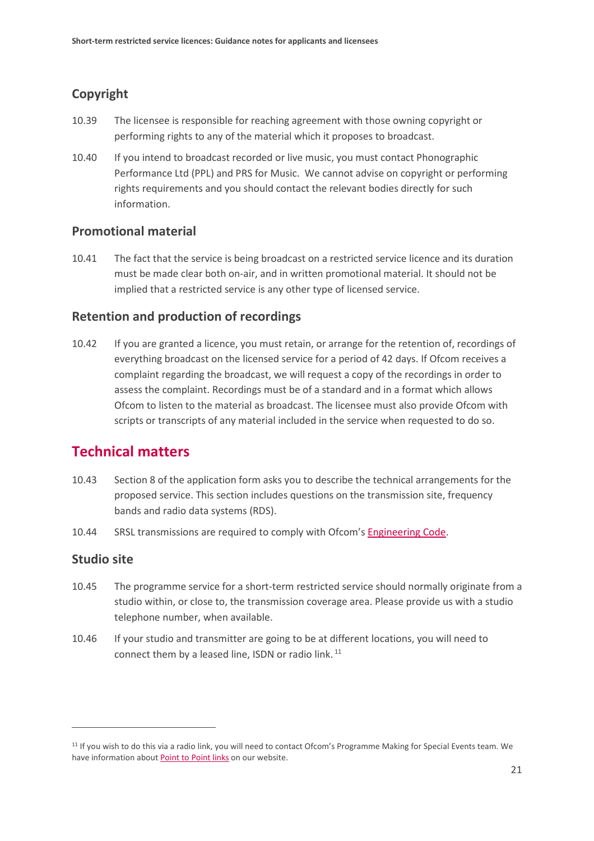### **Copyright**

- 10.39 The licensee is responsible for reaching agreement with those owning copyright or performing rights to any of the material which it proposes to broadcast.
- 10.40 If you intend to broadcast recorded or live music, you must contact Phonographic Performance Ltd (PPL) and PRS for Music. We cannot advise on copyright or performing rights requirements and you should contact the relevant bodies directly for such information.

#### **Promotional material**

10.41 The fact that the service is being broadcast on a restricted service licence and its duration must be made clear both on-air, and in written promotional material. It should not be implied that a restricted service is any other type of licensed service.

#### **Retention and production of recordings**

10.42 If you are granted a licence, you must retain, or arrange for the retention of, recordings of everything broadcast on the licensed service for a period of 42 days. If Ofcom receives a complaint regarding the broadcast, we will request a copy of the recordings in order to assess the complaint. Recordings must be of a standard and in a format which allows Ofcom to listen to the material as broadcast. The licensee must also provide Ofcom with scripts or transcripts of any material included in the service when requested to do so.

### **Technical matters**

- 10.43 Section 8 of the application form asks you to describe the technical arrangements for the proposed service. This section includes questions on the transmission site, frequency bands and radio data systems (RDS).
- 10.44 SRSL transmissions are required to comply with Ofcom's [Engineering Code.](https://www.ofcom.org.uk/tv-radio-and-on-demand/information-for-industry/guidance/tech-guidance/eng_code)

#### **Studio site**

- 10.45 The programme service for a short-term restricted service should normally originate from a studio within, or close to, the transmission coverage area. Please provide us with a studio telephone number, when available.
- 10.46 If your studio and transmitter are going to be at different locations, you will need to connect them by a leased line, ISDN or radio link.<sup>[11](#page-22-0)</sup>

<span id="page-22-0"></span><sup>&</sup>lt;sup>11</sup> If you wish to do this via a radio link, you will need to contact Ofcom's Programme Making for Special Events team. We have information about **Point to Point links** on our website.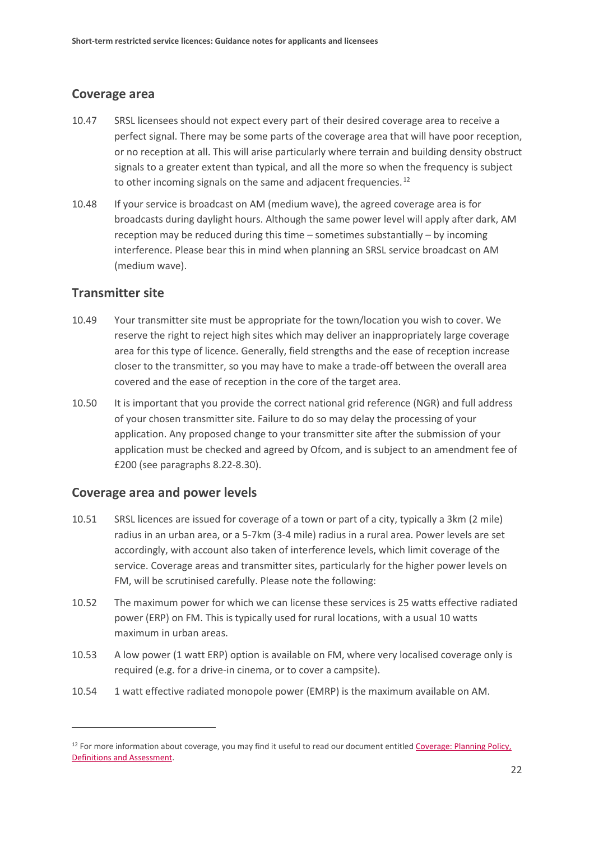#### **Coverage area**

- 10.47 SRSL licensees should not expect every part of their desired coverage area to receive a perfect signal. There may be some parts of the coverage area that will have poor reception, or no reception at all. This will arise particularly where terrain and building density obstruct signals to a greater extent than typical, and all the more so when the frequency is subject to other incoming signals on the same and adjacent frequencies.<sup>[12](#page-23-0)</sup>
- 10.48 If your service is broadcast on AM (medium wave), the agreed coverage area is for broadcasts during daylight hours. Although the same power level will apply after dark, AM reception may be reduced during this time – sometimes substantially – by incoming interference. Please bear this in mind when planning an SRSL service broadcast on AM (medium wave).

#### **Transmitter site**

 $\overline{a}$ 

- 10.49 Your transmitter site must be appropriate for the town/location you wish to cover. We reserve the right to reject high sites which may deliver an inappropriately large coverage area for this type of licence. Generally, field strengths and the ease of reception increase closer to the transmitter, so you may have to make a trade-off between the overall area covered and the ease of reception in the core of the target area.
- 10.50 It is important that you provide the correct national grid reference (NGR) and full address of your chosen transmitter site. Failure to do so may delay the processing of your application. Any proposed change to your transmitter site after the submission of your application must be checked and agreed by Ofcom, and is subject to an amendment fee of £200 (see paragraphs 8.22-8.30).

#### **Coverage area and power levels**

- 10.51 SRSL licences are issued for coverage of a town or part of a city, typically a 3km (2 mile) radius in an urban area, or a 5-7km (3-4 mile) radius in a rural area. Power levels are set accordingly, with account also taken of interference levels, which limit coverage of the service. Coverage areas and transmitter sites, particularly for the higher power levels on FM, will be scrutinised carefully. Please note the following:
- 10.52 The maximum power for which we can license these services is 25 watts effective radiated power (ERP) on FM. This is typically used for rural locations, with a usual 10 watts maximum in urban areas.
- 10.53 A low power (1 watt ERP) option is available on FM, where very localised coverage only is required (e.g. for a drive-in cinema, or to cover a campsite).
- 10.54 1 watt effective radiated monopole power (EMRP) is the maximum available on AM.

<span id="page-23-0"></span><sup>&</sup>lt;sup>12</sup> For more information about coverage, you may find it useful to read our document entitled Coverage: Planning Policy, [Definitions and Assessment.](http://webarchive.nationalarchives.gov.uk/20090205031507/http:/www.ofcom.org.uk/radio/ifi/rbl/car/coverage/pp_def/)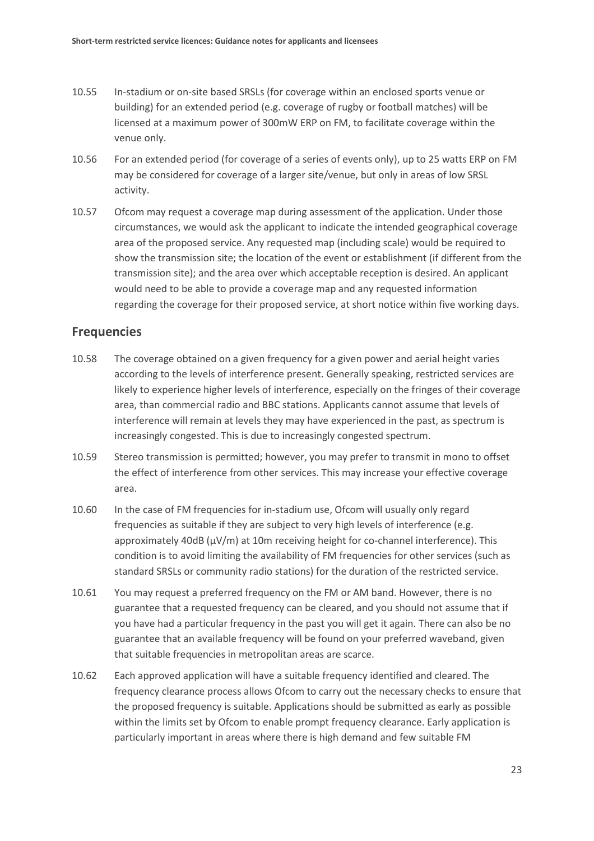- 10.55 In-stadium or on-site based SRSLs (for coverage within an enclosed sports venue or building) for an extended period (e.g. coverage of rugby or football matches) will be licensed at a maximum power of 300mW ERP on FM, to facilitate coverage within the venue only.
- 10.56 For an extended period (for coverage of a series of events only), up to 25 watts ERP on FM may be considered for coverage of a larger site/venue, but only in areas of low SRSL activity.
- 10.57 Ofcom may request a coverage map during assessment of the application. Under those circumstances, we would ask the applicant to indicate the intended geographical coverage area of the proposed service. Any requested map (including scale) would be required to show the transmission site; the location of the event or establishment (if different from the transmission site); and the area over which acceptable reception is desired. An applicant would need to be able to provide a coverage map and any requested information regarding the coverage for their proposed service, at short notice within five working days.

#### **Frequencies**

- 10.58 The coverage obtained on a given frequency for a given power and aerial height varies according to the levels of interference present. Generally speaking, restricted services are likely to experience higher levels of interference, especially on the fringes of their coverage area, than commercial radio and BBC stations. Applicants cannot assume that levels of interference will remain at levels they may have experienced in the past, as spectrum is increasingly congested. This is due to increasingly congested spectrum.
- 10.59 Stereo transmission is permitted; however, you may prefer to transmit in mono to offset the effect of interference from other services. This may increase your effective coverage area.
- 10.60 In the case of FM frequencies for in-stadium use, Ofcom will usually only regard frequencies as suitable if they are subject to very high levels of interference (e.g. approximately 40dB ( $\mu$ V/m) at 10m receiving height for co-channel interference). This condition is to avoid limiting the availability of FM frequencies for other services (such as standard SRSLs or community radio stations) for the duration of the restricted service.
- 10.61 You may request a preferred frequency on the FM or AM band. However, there is no guarantee that a requested frequency can be cleared, and you should not assume that if you have had a particular frequency in the past you will get it again. There can also be no guarantee that an available frequency will be found on your preferred waveband, given that suitable frequencies in metropolitan areas are scarce.
- 10.62 Each approved application will have a suitable frequency identified and cleared. The frequency clearance process allows Ofcom to carry out the necessary checks to ensure that the proposed frequency is suitable. Applications should be submitted as early as possible within the limits set by Ofcom to enable prompt frequency clearance. Early application is particularly important in areas where there is high demand and few suitable FM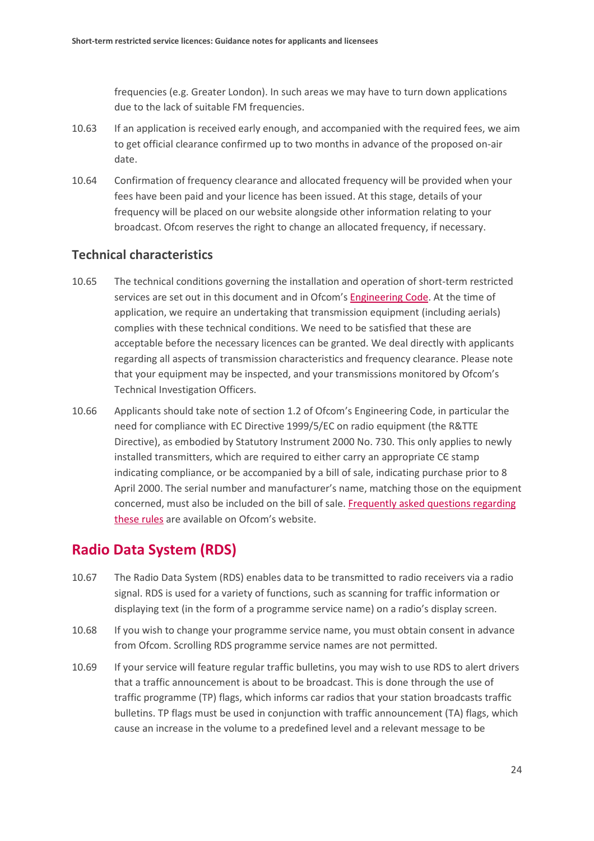frequencies (e.g. Greater London). In such areas we may have to turn down applications due to the lack of suitable FM frequencies.

- 10.63 If an application is received early enough, and accompanied with the required fees, we aim to get official clearance confirmed up to two months in advance of the proposed on-air date.
- 10.64 Confirmation of frequency clearance and allocated frequency will be provided when your fees have been paid and your licence has been issued. At this stage, details of your frequency will be placed on our website alongside other information relating to your broadcast. Ofcom reserves the right to change an allocated frequency, if necessary.

#### **Technical characteristics**

- 10.65 The technical conditions governing the installation and operation of short-term restricted services are set out in this document and in Ofcom'[s Engineering Code.](https://www.ofcom.org.uk/tv-radio-and-on-demand/information-for-industry/guidance/tech-guidance/eng_code) At the time of application, we require an undertaking that transmission equipment (including aerials) complies with these technical conditions. We need to be satisfied that these are acceptable before the necessary licences can be granted. We deal directly with applicants regarding all aspects of transmission characteristics and frequency clearance. Please note that your equipment may be inspected, and your transmissions monitored by Ofcom's Technical Investigation Officers.
- 10.66 Applicants should take note of section 1.2 of Ofcom's Engineering Code, in particular the need for compliance with EC Directive 1999/5/EC on radio equipment (the R&TTE Directive), as embodied by Statutory Instrument 2000 No. 730. This only applies to newly installed transmitters, which are required to either carry an appropriate CЄ stamp indicating compliance, or be accompanied by a bill of sale, indicating purchase prior to 8 April 2000. The serial number and manufacturer's name, matching those on the equipment concerned, must also be included on the bill of sale. **Frequently asked questions regarding** [these rules](http://stakeholders.ofcom.org.uk/spectrum/technical/rtte/rtte_faq/) are available on Ofcom's website.

### **Radio Data System (RDS)**

- 10.67 The Radio Data System (RDS) enables data to be transmitted to radio receivers via a radio signal. RDS is used for a variety of functions, such as scanning for traffic information or displaying text (in the form of a programme service name) on a radio's display screen.
- 10.68 If you wish to change your programme service name, you must obtain consent in advance from Ofcom. Scrolling RDS programme service names are not permitted.
- 10.69 If your service will feature regular traffic bulletins, you may wish to use RDS to alert drivers that a traffic announcement is about to be broadcast. This is done through the use of traffic programme (TP) flags, which informs car radios that your station broadcasts traffic bulletins. TP flags must be used in conjunction with traffic announcement (TA) flags, which cause an increase in the volume to a predefined level and a relevant message to be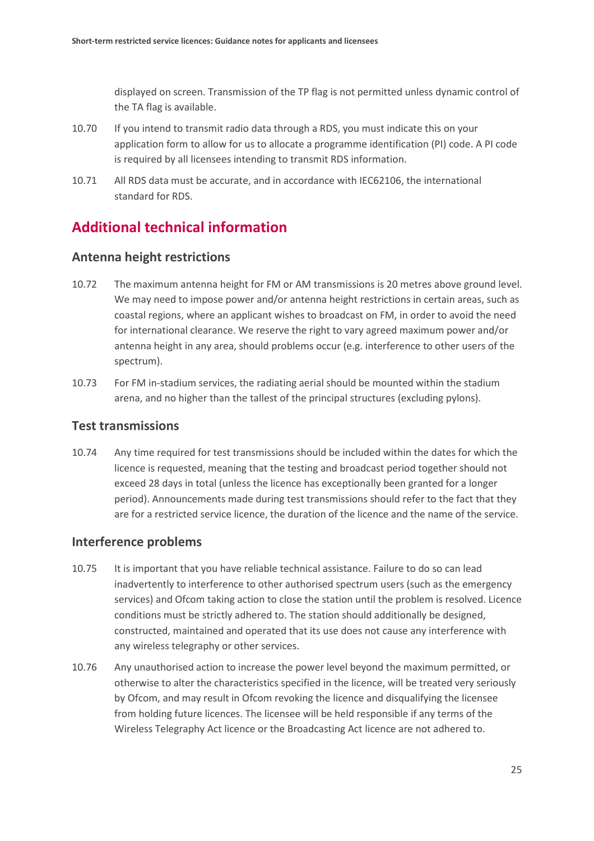displayed on screen. Transmission of the TP flag is not permitted unless dynamic control of the TA flag is available.

- 10.70 If you intend to transmit radio data through a RDS, you must indicate this on your application form to allow for us to allocate a programme identification (PI) code. A PI code is required by all licensees intending to transmit RDS information.
- 10.71 All RDS data must be accurate, and in accordance with IEC62106, the international standard for RDS.

## **Additional technical information**

#### **Antenna height restrictions**

- 10.72 The maximum antenna height for FM or AM transmissions is 20 metres above ground level. We may need to impose power and/or antenna height restrictions in certain areas, such as coastal regions, where an applicant wishes to broadcast on FM, in order to avoid the need for international clearance. We reserve the right to vary agreed maximum power and/or antenna height in any area, should problems occur (e.g. interference to other users of the spectrum).
- 10.73 For FM in-stadium services, the radiating aerial should be mounted within the stadium arena, and no higher than the tallest of the principal structures (excluding pylons).

#### **Test transmissions**

10.74 Any time required for test transmissions should be included within the dates for which the licence is requested, meaning that the testing and broadcast period together should not exceed 28 days in total (unless the licence has exceptionally been granted for a longer period). Announcements made during test transmissions should refer to the fact that they are for a restricted service licence, the duration of the licence and the name of the service.

#### **Interference problems**

- 10.75 It is important that you have reliable technical assistance. Failure to do so can lead inadvertently to interference to other authorised spectrum users (such as the emergency services) and Ofcom taking action to close the station until the problem is resolved. Licence conditions must be strictly adhered to. The station should additionally be designed, constructed, maintained and operated that its use does not cause any interference with any wireless telegraphy or other services.
- 10.76 Any unauthorised action to increase the power level beyond the maximum permitted, or otherwise to alter the characteristics specified in the licence, will be treated very seriously by Ofcom, and may result in Ofcom revoking the licence and disqualifying the licensee from holding future licences. The licensee will be held responsible if any terms of the Wireless Telegraphy Act licence or the Broadcasting Act licence are not adhered to.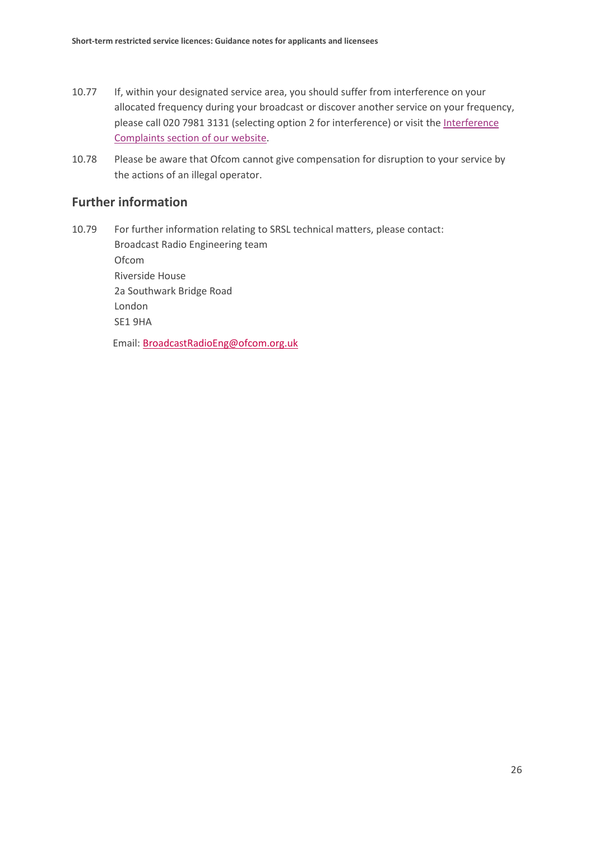- 10.77 If, within your designated service area, you should suffer from interference on your allocated frequency during your broadcast or discover another service on your frequency, please call 020 7981 3131 (selecting option 2 for interference) or visit the Interference [Complaints section of our website.](https://www.ofcom.org.uk/spectrum/interference-enforcement/interference-complaints)
- 10.78 Please be aware that Ofcom cannot give compensation for disruption to your service by the actions of an illegal operator.

#### **Further information**

10.79 For further information relating to SRSL technical matters, please contact: Broadcast Radio Engineering team Ofcom Riverside House 2a Southwark Bridge Road London SE1 9HA Email: [BroadcastRadioEng@ofcom.org.uk](mailto:BroadcastRadioEng@ofcom.org.uk)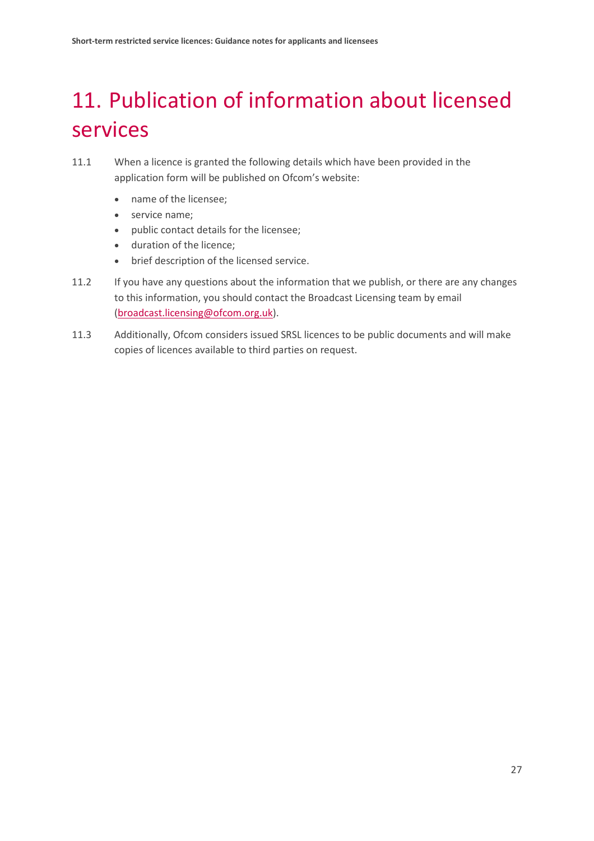# <span id="page-28-0"></span>11. Publication of information about licensed services

- 11.1 When a licence is granted the following details which have been provided in the application form will be published on Ofcom's website:
	- name of the licensee;
	- service name;
	- public contact details for the licensee;
	- duration of the licence;
	- brief description of the licensed service.
- 11.2 If you have any questions about the information that we publish, or there are any changes to this information, you should contact the Broadcast Licensing team by email [\(broadcast.licensing@ofcom.org.uk\)](mailto:broadcast.licensing@ofcom.org.uk).
- 11.3 Additionally, Ofcom considers issued SRSL licences to be public documents and will make copies of licences available to third parties on request.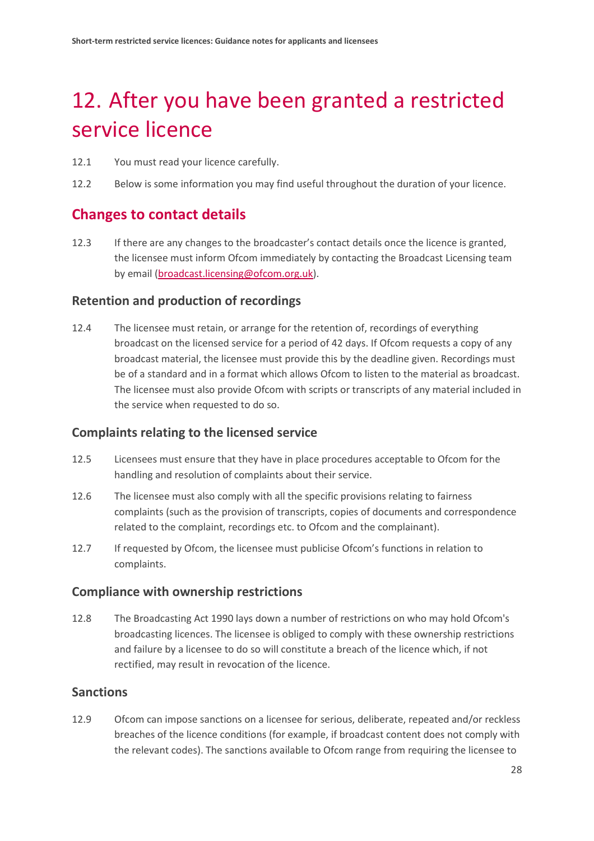# <span id="page-29-0"></span>12. After you have been granted a restricted service licence

- 12.1 You must read your licence carefully.
- 12.2 Below is some information you may find useful throughout the duration of your licence.

### **Changes to contact details**

12.3 If there are any changes to the broadcaster's contact details once the licence is granted, the licensee must inform Ofcom immediately by contacting the Broadcast Licensing team by email [\(broadcast.licensing@ofcom.org.uk\)](mailto:broadcast.licensing@ofcom.org.uk).

#### **Retention and production of recordings**

12.4 The licensee must retain, or arrange for the retention of, recordings of everything broadcast on the licensed service for a period of 42 days. If Ofcom requests a copy of any broadcast material, the licensee must provide this by the deadline given. Recordings must be of a standard and in a format which allows Ofcom to listen to the material as broadcast. The licensee must also provide Ofcom with scripts or transcripts of any material included in the service when requested to do so.

#### **Complaints relating to the licensed service**

- 12.5 Licensees must ensure that they have in place procedures acceptable to Ofcom for the handling and resolution of complaints about their service.
- 12.6 The licensee must also comply with all the specific provisions relating to fairness complaints (such as the provision of transcripts, copies of documents and correspondence related to the complaint, recordings etc. to Ofcom and the complainant).
- 12.7 If requested by Ofcom, the licensee must publicise Ofcom's functions in relation to complaints.

#### **Compliance with ownership restrictions**

12.8 The Broadcasting Act 1990 lays down a number of restrictions on who may hold Ofcom's broadcasting licences. The licensee is obliged to comply with these ownership restrictions and failure by a licensee to do so will constitute a breach of the licence which, if not rectified, may result in revocation of the licence.

#### **Sanctions**

12.9 Ofcom can impose sanctions on a licensee for serious, deliberate, repeated and/or reckless breaches of the licence conditions (for example, if broadcast content does not comply with the relevant codes). The sanctions available to Ofcom range from requiring the licensee to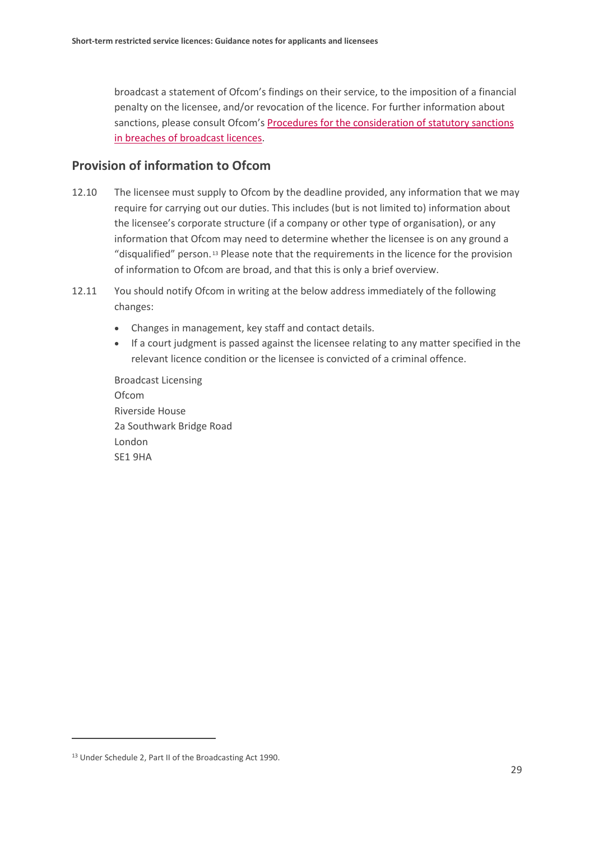broadcast a statement of Ofcom's findings on their service, to the imposition of a financial penalty on the licensee, and/or revocation of the licence. For further information about sanctions, please consult Ofcom'[s Procedures for the consideration of statutory sanctions](https://www.ofcom.org.uk/__data/assets/pdf_file/0030/71967/Procedures_for_consideration.pdf)  [in breaches of broadcast licences.](https://www.ofcom.org.uk/__data/assets/pdf_file/0030/71967/Procedures_for_consideration.pdf)

#### **Provision of information to Ofcom**

- 12.10 The licensee must supply to Ofcom by the deadline provided, any information that we may require for carrying out our duties. This includes (but is not limited to) information about the licensee's corporate structure (if a company or other type of organisation), or any information that Ofcom may need to determine whether the licensee is on any ground a "disqualified" person. [13](#page-30-0) Please note that the requirements in the licence for the provision of information to Ofcom are broad, and that this is only a brief overview.
- 12.11 You should notify Ofcom in writing at the below address immediately of the following changes:
	- Changes in management, key staff and contact details.
	- If a court judgment is passed against the licensee relating to any matter specified in the relevant licence condition or the licensee is convicted of a criminal offence.

Broadcast Licensing Ofcom Riverside House 2a Southwark Bridge Road London SE1 9HA

<span id="page-30-0"></span><sup>13</sup> Under Schedule 2, Part II of the Broadcasting Act 1990.